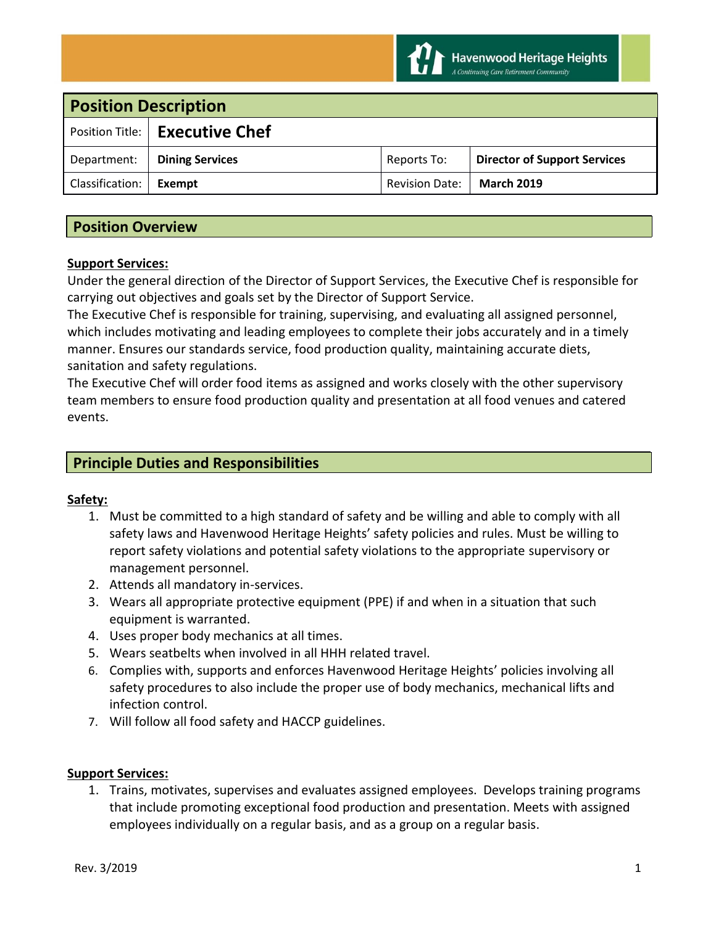

| <b>Position Description</b> |                                  |                       |                                     |
|-----------------------------|----------------------------------|-----------------------|-------------------------------------|
|                             | Position Title:   Executive Chef |                       |                                     |
| Department:                 | <b>Dining Services</b>           | Reports To:           | <b>Director of Support Services</b> |
| Classification:             | Exempt                           | <b>Revision Date:</b> | <b>March 2019</b>                   |

# **Position Overview**

### **Support Services:**

Under the general direction of the Director of Support Services, the Executive Chef is responsible for carrying out objectives and goals set by the Director of Support Service.

The Executive Chef is responsible for training, supervising, and evaluating all assigned personnel, which includes motivating and leading employees to complete their jobs accurately and in a timely manner. Ensures our standards service, food production quality, maintaining accurate diets, sanitation and safety regulations.

The Executive Chef will order food items as assigned and works closely with the other supervisory team members to ensure food production quality and presentation at all food venues and catered events.

# **Principle Duties and Responsibilities**

#### **Safety:**

- 1. Must be committed to a high standard of safety and be willing and able to comply with all safety laws and Havenwood Heritage Heights' safety policies and rules. Must be willing to report safety violations and potential safety violations to the appropriate supervisory or management personnel.
- 2. Attends all mandatory in-services.
- 3. Wears all appropriate protective equipment (PPE) if and when in a situation that such equipment is warranted.
- 4. Uses proper body mechanics at all times.
- 5. Wears seatbelts when involved in all HHH related travel.
- 6. Complies with, supports and enforces Havenwood Heritage Heights' policies involving all safety procedures to also include the proper use of body mechanics, mechanical lifts and infection control.
- 7. Will follow all food safety and HACCP guidelines.

#### **Support Services:**

1. Trains, motivates, supervises and evaluates assigned employees. Develops training programs that include promoting exceptional food production and presentation. Meets with assigned employees individually on a regular basis, and as a group on a regular basis.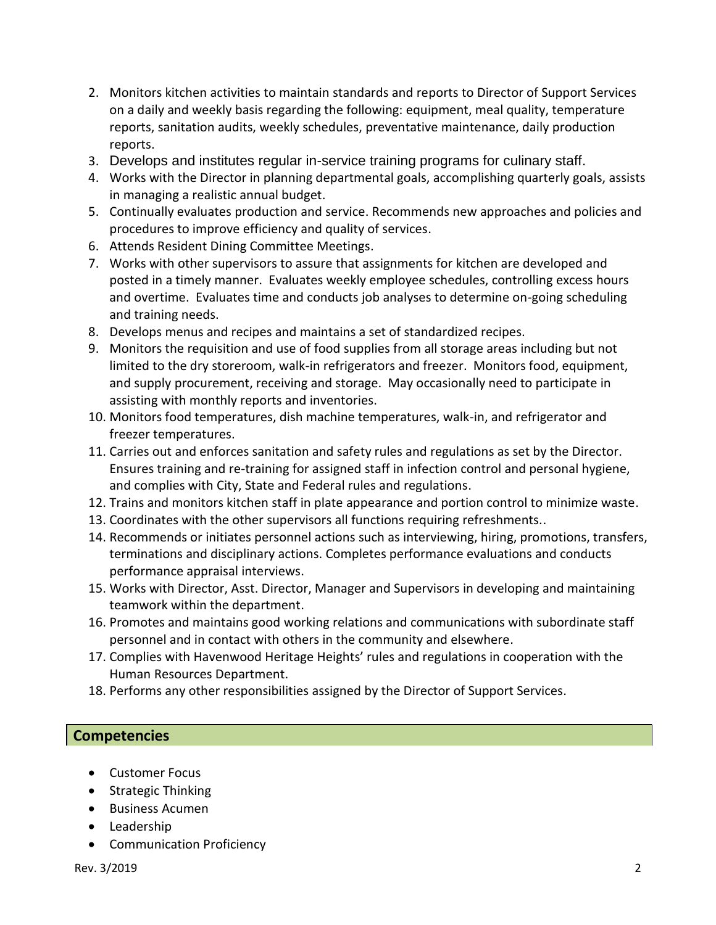- 2. Monitors kitchen activities to maintain standards and reports to Director of Support Services on a daily and weekly basis regarding the following: equipment, meal quality, temperature reports, sanitation audits, weekly schedules, preventative maintenance, daily production reports.
- 3. Develops and institutes regular in-service training programs for culinary staff.
- 4. Works with the Director in planning departmental goals, accomplishing quarterly goals, assists in managing a realistic annual budget.
- 5. Continually evaluates production and service. Recommends new approaches and policies and procedures to improve efficiency and quality of services.
- 6. Attends Resident Dining Committee Meetings.
- 7. Works with other supervisors to assure that assignments for kitchen are developed and posted in a timely manner. Evaluates weekly employee schedules, controlling excess hours and overtime. Evaluates time and conducts job analyses to determine on-going scheduling and training needs.
- 8. Develops menus and recipes and maintains a set of standardized recipes.
- 9. Monitors the requisition and use of food supplies from all storage areas including but not limited to the dry storeroom, walk-in refrigerators and freezer. Monitors food, equipment, and supply procurement, receiving and storage. May occasionally need to participate in assisting with monthly reports and inventories.
- 10. Monitors food temperatures, dish machine temperatures, walk-in, and refrigerator and freezer temperatures.
- 11. Carries out and enforces sanitation and safety rules and regulations as set by the Director. Ensures training and re-training for assigned staff in infection control and personal hygiene, and complies with City, State and Federal rules and regulations.
- 12. Trains and monitors kitchen staff in plate appearance and portion control to minimize waste.
- 13. Coordinates with the other supervisors all functions requiring refreshments..
- 14. Recommends or initiates personnel actions such as interviewing, hiring, promotions, transfers, terminations and disciplinary actions. Completes performance evaluations and conducts performance appraisal interviews.
- 15. Works with Director, Asst. Director, Manager and Supervisors in developing and maintaining teamwork within the department.
- 16. Promotes and maintains good working relations and communications with subordinate staff personnel and in contact with others in the community and elsewhere.
- 17. Complies with Havenwood Heritage Heights' rules and regulations in cooperation with the Human Resources Department.
- 18. Performs any other responsibilities assigned by the Director of Support Services.

# **Competencies**

- Customer Focus
- Strategic Thinking
- Business Acumen
- Leadership
- Communication Proficiency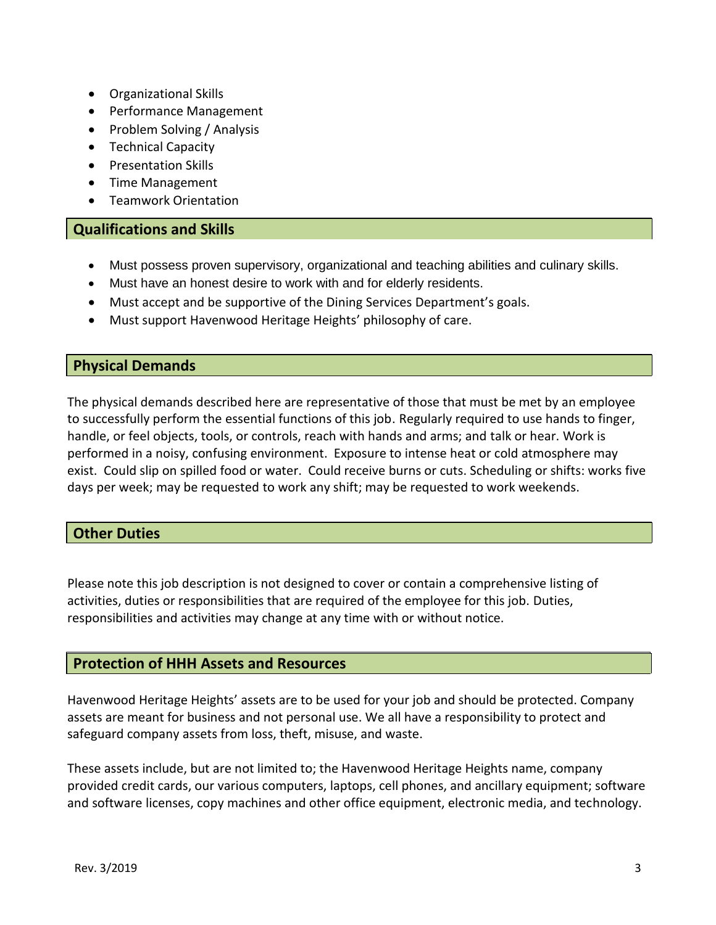- Organizational Skills
- Performance Management
- Problem Solving / Analysis
- Technical Capacity
- Presentation Skills
- Time Management
- Teamwork Orientation

## **Qualifications and Skills**

- Must possess proven supervisory, organizational and teaching abilities and culinary skills.
- Must have an honest desire to work with and for elderly residents.
- Must accept and be supportive of the Dining Services Department's goals.
- Must support Havenwood Heritage Heights' philosophy of care.

# **Physical Demands**

The physical demands described here are representative of those that must be met by an employee to successfully perform the essential functions of this job. Regularly required to use hands to finger, handle, or feel objects, tools, or controls, reach with hands and arms; and talk or hear. Work is performed in a noisy, confusing environment. Exposure to intense heat or cold atmosphere may exist. Could slip on spilled food or water. Could receive burns or cuts. Scheduling or shifts: works five days per week; may be requested to work any shift; may be requested to work weekends.

# **Other Duties**

Please note this job description is not designed to cover or contain a comprehensive listing of activities, duties or responsibilities that are required of the employee for this job. Duties, responsibilities and activities may change at any time with or without notice.

### **Protection of HHH Assets and Resources**

Havenwood Heritage Heights' assets are to be used for your job and should be protected. Company assets are meant for business and not personal use. We all have a responsibility to protect and safeguard company assets from loss, theft, misuse, and waste.

These assets include, but are not limited to; the Havenwood Heritage Heights name, company provided credit cards, our various computers, laptops, cell phones, and ancillary equipment; software and software licenses, copy machines and other office equipment, electronic media, and technology.